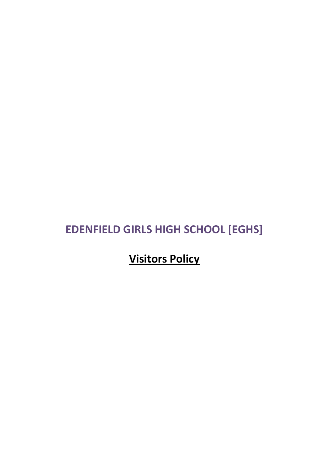# **EDENFIELD GIRLS HIGH SCHOOL [EGHS]**

**Visitors Policy**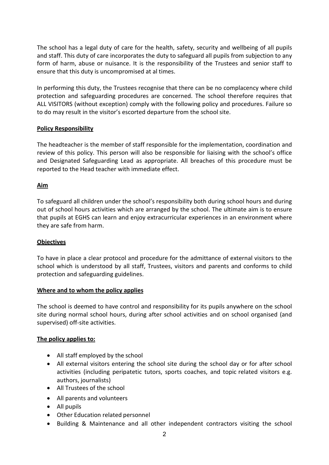The school has a legal duty of care for the health, safety, security and wellbeing of all pupils and staff. This duty of care incorporates the duty to safeguard all pupils from subjection to any form of harm, abuse or nuisance. It is the responsibility of the Trustees and senior staff to ensure that this duty is uncompromised at al times.

In performing this duty, the Trustees recognise that there can be no complacency where child protection and safeguarding procedures are concerned. The school therefore requires that ALL VISITORS (without exception) comply with the following policy and procedures. Failure so to do may result in the visitor's escorted departure from the school site.

#### **Policy Responsibility**

The headteacher is the member of staff responsible for the implementation, coordination and review of this policy. This person will also be responsible for liaising with the school's office and Designated Safeguarding Lead as appropriate. All breaches of this procedure must be reported to the Head teacher with immediate effect.

#### **Aim**

To safeguard all children under the school's responsibility both during school hours and during out of school hours activities which are arranged by the school. The ultimate aim is to ensure that pupils at EGHS can learn and enjoy extracurricular experiences in an environment where they are safe from harm.

## **Objectives**

To have in place a clear protocol and procedure for the admittance of external visitors to the school which is understood by all staff, Trustees, visitors and parents and conforms to child protection and safeguarding guidelines.

#### **Where and to whom the policy applies**

The school is deemed to have control and responsibility for its pupils anywhere on the school site during normal school hours, during after school activities and on school organised (and supervised) off-site activities.

#### **The policy applies to:**

- All staff employed by the school
- All external visitors entering the school site during the school day or for after school activities (including peripatetic tutors, sports coaches, and topic related visitors e.g. authors, journalists)
- All Trustees of the school
- All parents and volunteers
- All pupils
- Other Education related personnel
- Building & Maintenance and all other independent contractors visiting the school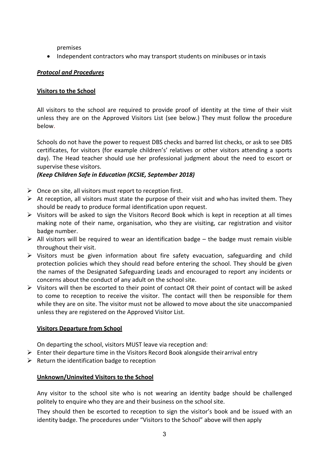premises

• Independent contractors who may transport students on minibuses or intaxis

# *Protocol and Procedures*

## **Visitors to the School**

All visitors to the school are required to provide proof of identity at the time of their visit unless they are on the Approved Visitors List (see below.) They must follow the procedure below.

Schools do not have the power to request DBS checks and barred list checks, or ask to see DBS certificates, for visitors (for example children's' relatives or other visitors attending a sports day). The Head teacher should use her professional judgment about the need to escort or supervise these visitors.

# *(Keep Children Safe in Education (KCSIE, September 2018)*

- $\triangleright$  Once on site, all visitors must report to reception first.
- $\triangleright$  At reception, all visitors must state the purpose of their visit and who has invited them. They should be ready to produce formal identification upon request.
- $\triangleright$  Visitors will be asked to sign the Visitors Record Book which is kept in reception at all times making note of their name, organisation, who they are visiting, car registration and visitor badge number.
- $\triangleright$  All visitors will be required to wear an identification badge the badge must remain visible throughout their visit.
- $\triangleright$  Visitors must be given information about fire safety evacuation, safeguarding and child protection policies which they should read before entering the school. They should be given the names of the Designated Safeguarding Leads and encouraged to report any incidents or concerns about the conduct of any adult on the school site.
- $\triangleright$  Visitors will then be escorted to their point of contact OR their point of contact will be asked to come to reception to receive the visitor. The contact will then be responsible for them while they are on site. The visitor must not be allowed to move about the site unaccompanied unless they are registered on the Approved Visitor List.

# **Visitors Departure from School**

On departing the school, visitors MUST leave via reception and:

- $\triangleright$  Enter their departure time in the Visitors Record Book alongside their arrival entry
- $\triangleright$  Return the identification badge to reception

## **Unknown/Uninvited Visitors to the School**

Any visitor to the school site who is not wearing an identity badge should be challenged politely to enquire who they are and their business on the school site.

They should then be escorted to reception to sign the visitor's book and be issued with an identity badge. The procedures under "Visitors to the School" above will then apply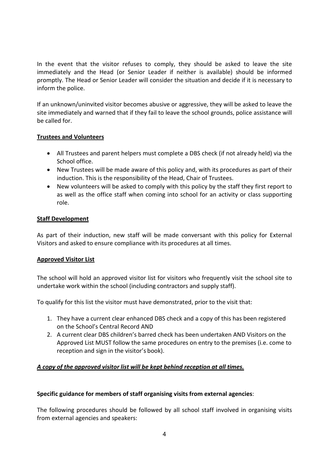In the event that the visitor refuses to comply, they should be asked to leave the site immediately and the Head (or Senior Leader if neither is available) should be informed promptly. The Head or Senior Leader will consider the situation and decide if it is necessary to inform the police.

If an unknown/uninvited visitor becomes abusive or aggressive, they will be asked to leave the site immediately and warned that if they fail to leave the school grounds, police assistance will be called for.

## **Trustees and Volunteers**

- All Trustees and parent helpers must complete a DBS check (if not already held) via the School office.
- New Trustees will be made aware of this policy and, with its procedures as part of their induction. This is the responsibility of the Head, Chair of Trustees.
- New volunteers will be asked to comply with this policy by the staff they first report to as well as the office staff when coming into school for an activity or class supporting role.

#### **Staff Development**

As part of their induction, new staff will be made conversant with this policy for External Visitors and asked to ensure compliance with its procedures at all times.

## **Approved Visitor List**

The school will hold an approved visitor list for visitors who frequently visit the school site to undertake work within the school (including contractors and supply staff).

To qualify for this list the visitor must have demonstrated, prior to the visit that:

- 1. They have a current clear enhanced DBS check and a copy of this has been registered on the School's Central Record AND
- 2. A current clear DBS children's barred check has been undertaken AND Visitors on the Approved List MUST follow the same procedures on entry to the premises (i.e. come to reception and sign in the visitor's book).

## *A copy of the approved visitor list will be kept behind reception at all times.*

## **Specific guidance for members of staff organising visits from external agencies**:

The following procedures should be followed by all school staff involved in organising visits from external agencies and speakers: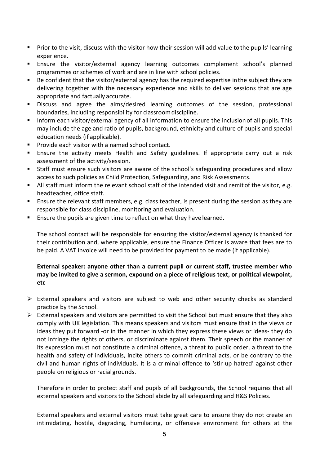- **Prior to the visit, discuss with the visitor how their session will add value to the pupils' learning** experience.
- Ensure the visitor/external agency learning outcomes complement school's planned programmes or schemes of work and are in line with school policies.
- Be confident that the visitor/external agency has the required expertise inthe subject they are delivering together with the necessary experience and skills to deliver sessions that are age appropriate and factually accurate.
- Discuss and agree the aims/desired learning outcomes of the session, professional boundaries, including responsibility for classroomdiscipline.
- **Inform each visitor/external agency of all information to ensure the inclusion of all pupils. This** may include the age and ratio of pupils, background, ethnicity and culture of pupils and special education needs (if applicable).
- **Provide each visitor with a named school contact.**
- Ensure the activity meets Health and Safety guidelines. If appropriate carry out a risk assessment of the activity/session.
- Staff must ensure such visitors are aware of the school's safeguarding procedures and allow access to such policies as Child Protection, Safeguarding, and Risk Assessments.
- If all staff must inform the relevant school staff of the intended visit and remit of the visitor, e.g. headteacher, office staff.
- **Ensure the relevant staff members, e.g. class teacher, is present during the session as they are** responsible for class discipline, monitoring and evaluation.
- **Ensure the pupils are given time to reflect on what they have learned.**

The school contact will be responsible for ensuring the visitor/external agency is thanked for their contribution and, where applicable, ensure the Finance Officer is aware that fees are to be paid. A VAT invoice will need to be provided for payment to be made (if applicable).

## **External speaker: anyone other than a current pupil or current staff, trustee member who may be invited to give a sermon, expound on a piece of religious text, or political viewpoint, etc**

- $\triangleright$  External speakers and visitors are subject to web and other security checks as standard practice by the School.
- $\triangleright$  External speakers and visitors are permitted to visit the School but must ensure that they also comply with UK legislation. This means speakers and visitors must ensure that in the views or ideas they put forward -or in the manner in which they express these views or ideas- they do not infringe the rights of others, or discriminate against them. Their speech or the manner of its expression must not constitute a criminal offence, a threat to public order, a threat to the health and safety of individuals, incite others to commit criminal acts, or be contrary to the civil and human rights of individuals. It is a criminal offence to 'stir up hatred' against other people on religious or racialgrounds.

Therefore in order to protect staff and pupils of all backgrounds, the School requires that all external speakers and visitors to the School abide by all safeguarding and H&S Policies.

External speakers and external visitors must take great care to ensure they do not create an intimidating, hostile, degrading, humiliating, or offensive environment for others at the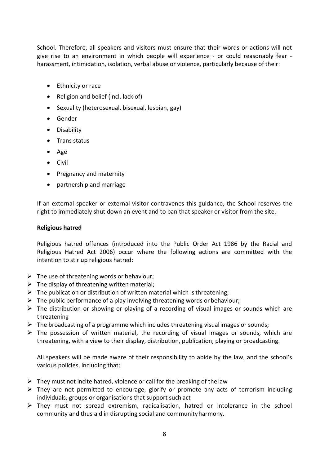School. Therefore, all speakers and visitors must ensure that their words or actions will not give rise to an environment in which people will experience - or could reasonably fear harassment, intimidation, isolation, verbal abuse or violence, particularly because of their:

- Ethnicity or race
- Religion and belief (incl. lack of)
- Sexuality (heterosexual, bisexual, lesbian, gay)
- Gender
- Disability
- Trans status
- Age
- Civil
- Pregnancy and maternity
- partnership and marriage

If an external speaker or external visitor contravenes this guidance, the School reserves the right to immediately shut down an event and to ban that speaker or visitor from the site.

#### **Religious hatred**

Religious hatred offences (introduced into the Public Order Act 1986 by the Racial and Religious Hatred Act 2006) occur where the following actions are committed with the intention to stir up religious hatred:

- $\triangleright$  The use of threatening words or behaviour;
- $\triangleright$  The display of threatening written material;
- $\triangleright$  The publication or distribution of written material which is threatening;
- $\triangleright$  The public performance of a play involving threatening words or behaviour;
- $\triangleright$  The distribution or showing or playing of a recording of visual images or sounds which are threatening
- $\triangleright$  The broadcasting of a programme which includes threatening visual images or sounds;
- $\triangleright$  The possession of written material, the recording of visual images or sounds, which are threatening, with a view to their display, distribution, publication, playing or broadcasting.

All speakers will be made aware of their responsibility to abide by the law, and the school's various policies, including that:

- $\triangleright$  They must not incite hatred, violence or call for the breaking of the law
- $\triangleright$  They are not permitted to encourage, glorify or promote any acts of terrorism including individuals, groups or organisations that support such act
- $\triangleright$  They must not spread extremism, radicalisation, hatred or intolerance in the school community and thus aid in disrupting social and communityharmony.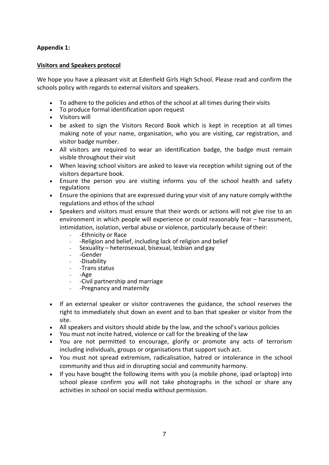# **Appendix 1:**

#### **Visitors and Speakers protocol**

We hope you have a pleasant visit at Edenfield Girls High School. Please read and confirm the schools policy with regards to external visitors and speakers.

- To adhere to the policies and ethos of the school at all times during their visits
- To produce formal identification upon request
- Visitors will
- be asked to sign the Visitors Record Book which is kept in reception at all times making note of your name, organisation, who you are visiting, car registration, and visitor badge number.
- All visitors are required to wear an identification badge, the badge must remain visible throughout their visit
- When leaving school visitors are asked to leave via reception whilst signing out of the visitors departure book.
- Ensure the person you are visiting informs you of the school health and safety regulations
- Ensure the opinions that are expressed during your visit of any nature comply withthe regulations and ethos of the school
- Speakers and visitors must ensure that their words or actions will not give rise to an environment in which people will experience or could reasonably fear – harassment, intimidation, isolation, verbal abuse or violence, particularly because oftheir:
	- -Ethnicity or Race
	- -Religion and belief, including lack of religion and belief
	- Sexuality heterosexual, bisexual, lesbian and gay
	- -Gender
	- -Disability
	- -Trans status
	- -Age
	- -Civil partnership and marriage
	- -Pregnancy and maternity
- If an external speaker or visitor contravenes the guidance, the school reserves the right to immediately shut down an event and to ban that speaker or visitor from the site.
- All speakers and visitors should abide by the law, and the school's various policies
- You must not incite hatred, violence or call for the breaking of the law
- You are not permitted to encourage, glorify or promote any acts of terrorism including individuals, groups or organisations that support such act.
- You must not spread extremism, radicalisation, hatred or intolerance in the school community and thus aid in disrupting social and community harmony.
- If you have bought the following items with you (a mobile phone, ipad orlaptop) into school please confirm you will not take photographs in the school or share any activities in school on social media without permission.